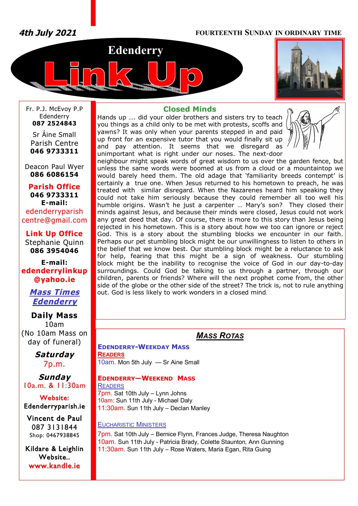*4th July 2021* **FOURTEENTH SUNDAY IN ORDINARY TIME**





Fr. P.J. McEvoy P.P Edenderry **087 2524843**

Sr Áine Small Parish Centre **046 9733311**

Deacon Paul Wyer **086 6086154**

**Parish Office 046 9733311 E-mail:** edenderryparish [centre@gmail.com](mailto:centre@gmail.com)

**Link Up Office** Stephanie Quinn **086 3954046**

**E-mail: edenderrylinkup [@yahoo.ie](mailto:@yahoo.ie)**

# *Mass Times Edenderry*

**Daily Mass** 10am (No 10am Mass on day of funeral)

> *Saturday* 7p.m.

*Sunday* 10a.m. & 11:30am

**Website: Edenderryparish.ie**

**Vincent de Paul**  087 3131844 Shop: 0467938845

**Kildare & Leighlin Website.. [www.kandle.ie](http://www.kandle.ie)** 

## **Closed Minds**

Hands up …. did your older brothers and sisters try to teach you things as a child only to be met with protests, scoffs and yawns? It was only when your parents stepped in and paid up front for an expensive tutor that you would finally sit up and pay attention. It seems that we disregard as unimportant what is right under our noses. The next-door



neighbour might speak words of great wisdom to us over the garden fence, but unless the same words were boomed at us from a cloud or a mountaintop we would barely heed them. The old adage that 'familiarity breeds contempt' is certainly a true one. When Jesus returned to his hometown to preach, he was treated with similar disregard. When the Nazarenes heard him speaking they could not take him seriously because they could remember all too well his humble origins. Wasn't he just a carpenter … Mary's son? They closed their minds against Jesus, and because their minds were closed, Jesus could not work any great deed that day. Of course, there is more to this story than Jesus being rejected in his hometown. This is a story about how we too can ignore or reject God. This is a story about the stumbling blocks we encounter in our faith. Perhaps our pet stumbling block might be our unwillingness to listen to others in the belief that we know best. Our stumbling block might be a reluctance to ask for help, fearing that this might be a sign of weakness. Our stumbling block might be the inability to recognise the voice of God in our day-to-day surroundings. Could God be talking to us through a partner, through our children, parents or friends? Where will the next prophet come from, the other side of the globe or the other side of the street? The trick is, not to rule anything out. God is less likely to work wonders in a closed mind.

# *MASS ROTAS*

**EDENDERRY-WEEKDAY MASS READERS** 10am. Mon 5th July — Sr Aine Small

# **EDENDERRY—WEEKEND MASS**

**READERS** 7pm. Sat 10th July – Lynn Johns 10am: Sun 11th July - Michael Daly 11:30am. Sun 11th July – Declan Manley

## EUCHARISTIC MINISTERS

7pm. Sat 10th July – Bernice Flynn, Frances Judge, Theresa Naughton 10am. Sun 11th July - Patricia Brady, Colette Staunton, Ann Gunning 11:30am. Sun 11th July – Rose Waters, Maria Egan, Rita Guing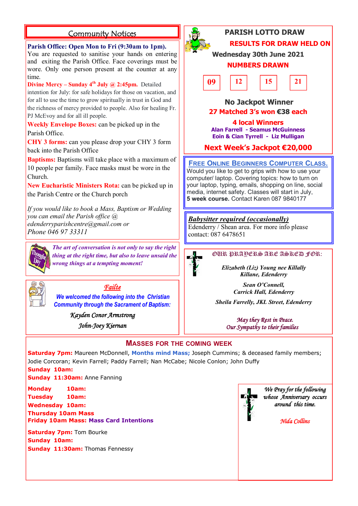# **Community Notices**

# **Parish Office: Open Mon to Fri (9:30am to 1pm).** You are requested to sanitise your hands on entering

and exiting the Parish Office. Face coverings must be wore. Only one person present at the counter at any time.

**Divine Mercy – Sunday 4th July @ 2:45pm.** Detailed

intention for July: for safe holidays for those on vacation, and for all to use the time to grow spiritually in trust in God and the richness of mercy provided to people. Also for healing Fr. PJ McEvoy and for all ill people.

**Weekly Envelope Boxes:** can be picked up in the Parish Office.

**CHY 3 forms:** can you please drop your CHY 3 form back into the Parish Office

**Baptisms:** Baptisms will take place with a maximum of 10 people per family. Face masks must be wore in the Church.

**New Eucharistic Ministers Rota:** can be picked up in the Parish Centre or the Church porch

*If you would like to book a Mass, Baptism or Wedding you can email the Parish office @ [edenderryparishcentre@gmail.com](mailto:edenderryparishcentre@gmail.com) or Phone 046 97 33311*



*The art of conversation is not only to say the right thing at the right time, but also to leave unsaid the wrong things at a tempting moment!*



*Failte* 

*We welcomed the following into the Christian Community through the Sacrament of Baptism:*

*Kayden Conor Armstrong* 

*John-Joey Kiernan* 



# **PARISH LOTTO DRAW RESULTS FOR DRAW HELD ON**

**Wednesday 30th June 2021**

# **NUMBERS DRAWN**



 **No Jackpot Winner 27 Matched 3's won €38 each**

**4 local Winners Alan Farrell - Seamus McGuinness Eoin & Cian Tyrrell - Liz Mulligan**

**Next Week's Jackpot €20,000**

# **FREE ONLINE BEGINNERS COMPUTER CLASS.**

Would you like to get to grips with how to use your computer/ laptop. Covering topics: how to turn on your laptop, typing, emails, shopping on line, social media, internet safety. Classes will start in July, **5 week course.** Contact Karen 087 9840177

# *Babysitter required (occasionally)*

Edenderry / Shean area. For more info please contact: 087 6478651



*Elizabeth (Liz) Young nee Killally Killane, Edenderry* 

> *Sean O'Connell, Carrick Hall, Edenderry*

*Sheila Farrelly, JKL Street, Edenderry*

 *May they Rest in Peace. Our Sympathy to their families* 

# **MASSES FOR THE COMING WEEK**

**Saturday 7pm:** Maureen McDonnell, **Months mind Mass;** Joseph Cummins; & deceased family members; Jodie Corcoran; Kevin Farrell; Paddy Farrell; Nan McCabe; Nicole Conlon; John Duffy

## **Sunday 10am: Sunday 11:30am:** Anne Fanning

**Monday 10am: Tuesday 10am:**

**Wednesday 10am:** 

**Thursday 10am Mass Friday 10am Mass: Mass Card Intentions**

**Saturday 7pm: Tom Bourke Sunday 10am: Sunday 11:30am:** Thomas Fennessy



*We Pray for the following whose Anniversary occurs around this time.* 

*Nida Collins*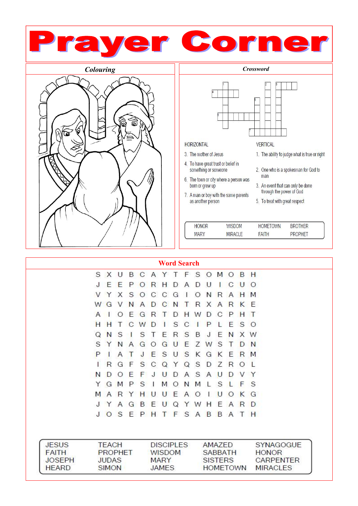

| <b>JESUS</b>  | TFACH          | <b>DISCIPLES</b> | AMAZED          | <b>SYNAGOGUE</b> |
|---------------|----------------|------------------|-----------------|------------------|
| <b>FAITH</b>  | <b>PROPHET</b> | <b>WISDOM</b>    | SABBATH         | <b>HONOR</b>     |
| <b>JOSEPH</b> | <b>JUDAS</b>   | <b>MARY</b>      | <b>SISTERS</b>  | <b>CARPENTER</b> |
| <b>HFARD</b>  | <b>SIMON</b>   | <b>JAMES</b>     | <b>HOMETOWN</b> | MIRACI FS        |

Q Y

> S  $A$ B

W Н

U

EPHTF

E A  $\mathsf{R}$ D

B  $\mathsf{A}$  $\top$  $H$ 

A

S

G B E

J Y

 $J$ 

 $\circ$